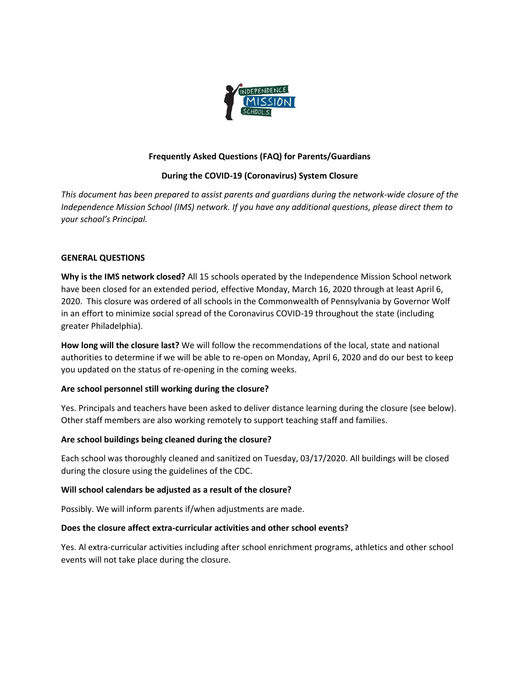

## **Frequently Asked Questions (FAQ) for Parents/Guardians**

## **During the COVID-19 (Coronavirus) System Closure**

*This document has been prepared to assist parents and guardians during the network-wide closure of the Independence Mission School (IMS) network. If you have any additional questions, please direct them to your school's Principal.* 

#### **GENERAL QUESTIONS**

**Why is the IMS network closed?** All 15 schools operated by the Independence Mission School network have been closed for an extended period, effective Monday, March 16, 2020 through at least April 6, 2020. This closure was ordered of all schools in the Commonwealth of Pennsylvania by Governor Wolf in an effort to minimize social spread of the Coronavirus COVID-19 throughout the state (including greater Philadelphia).

**How long will the closure last?** We will follow the recommendations of the local, state and national authorities to determine if we will be able to re-open on Monday, April 6, 2020 and do our best to keep you updated on the status of re-opening in the coming weeks.

#### **Are school personnel still working during the closure?**

Yes. Principals and teachers have been asked to deliver distance learning during the closure (see below). Other staff members are also working remotely to support teaching staff and families.

#### **Are school buildings being cleaned during the closure?**

Each school was thoroughly cleaned and sanitized on Tuesday, 03/17/2020. All buildings will be closed during the closure using the guidelines of the CDC.

#### **Will school calendars be adjusted as a result of the closure?**

Possibly. We will inform parents if/when adjustments are made.

#### **Does the closure affect extra-curricular activities and other school events?**

Yes. Al extra-curricular activities including after school enrichment programs, athletics and other school events will not take place during the closure.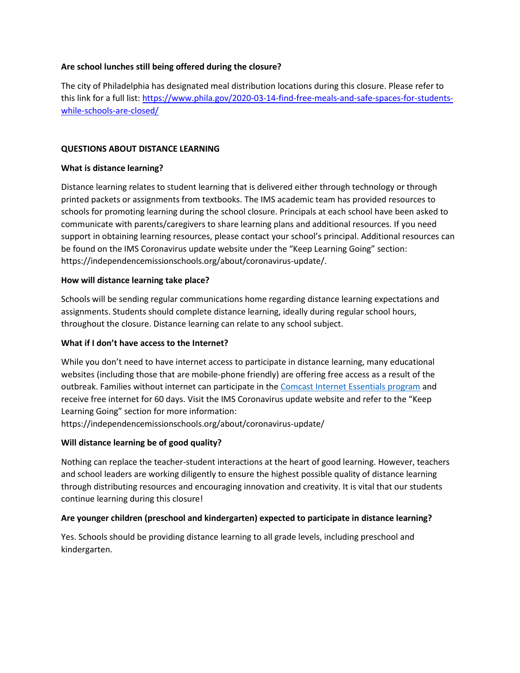## **Are school lunches still being offered during the closure?**

The city of Philadelphia has designated meal distribution locations during this closure. Please refer to this link for a full list[: https://www.phila.gov/2020-03-14-find-free-meals-and-safe-spaces-for-students](https://www.phila.gov/2020-03-14-find-free-meals-and-safe-spaces-for-students-while-schools-are-closed/)[while-schools-are-closed/](https://www.phila.gov/2020-03-14-find-free-meals-and-safe-spaces-for-students-while-schools-are-closed/)

### **QUESTIONS ABOUT DISTANCE LEARNING**

## **What is distance learning?**

Distance learning relates to student learning that is delivered either through technology or through printed packets or assignments from textbooks. The IMS academic team has provided resources to schools for promoting learning during the school closure. Principals at each school have been asked to communicate with parents/caregivers to share learning plans and additional resources. If you need support in obtaining learning resources, please contact your school's principal. Additional resources can be found on the IMS Coronavirus update website under the "Keep Learning Going" section: https://independencemissionschools.org/about/coronavirus-update/.

#### **How will distance learning take place?**

Schools will be sending regular communications home regarding distance learning expectations and assignments. Students should complete distance learning, ideally during regular school hours, throughout the closure. Distance learning can relate to any school subject.

#### **What if I don't have access to the Internet?**

While you don't need to have internet access to participate in distance learning, many educational websites (including those that are mobile-phone friendly) are offering free access as a result of the outbreak. Families without internet can participate in th[e Comcast Internet Essentials program](https://www.wxyz.com/news/national/coronavirus/comcast-offering-internet-essentials-package-free-for-60-months-during-coronavirus-outbreak?fbclid=IwAR2Uh4LopOTcmrCbbYs53McVwbXoCrSrXW5C4WzjbzUC2m3jIQxZ5EEFhLQ) and receive free internet for 60 days. Visit the IMS Coronavirus update website and refer to the "Keep Learning Going" section for more information:

https://independencemissionschools.org/about/coronavirus-update/

#### **Will distance learning be of good quality?**

Nothing can replace the teacher-student interactions at the heart of good learning. However, teachers and school leaders are working diligently to ensure the highest possible quality of distance learning through distributing resources and encouraging innovation and creativity. It is vital that our students continue learning during this closure!

#### **Are younger children (preschool and kindergarten) expected to participate in distance learning?**

Yes. Schools should be providing distance learning to all grade levels, including preschool and kindergarten.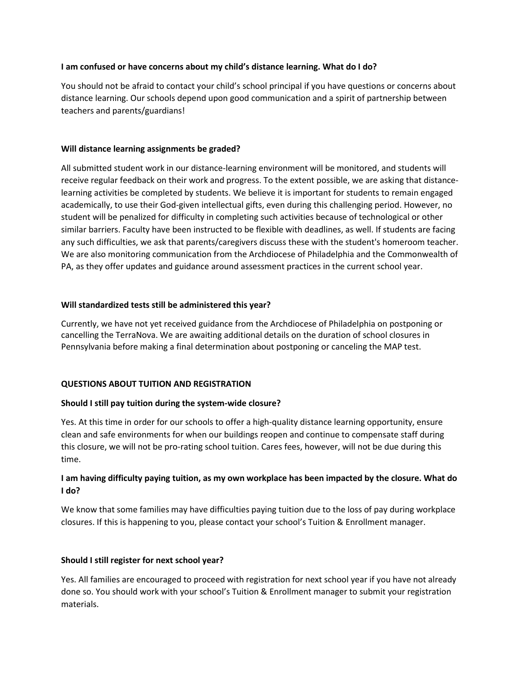### **I am confused or have concerns about my child's distance learning. What do I do?**

You should not be afraid to contact your child's school principal if you have questions or concerns about distance learning. Our schools depend upon good communication and a spirit of partnership between teachers and parents/guardians!

## **Will distance learning assignments be graded?**

All submitted student work in our distance-learning environment will be monitored, and students will receive regular feedback on their work and progress. To the extent possible, we are asking that distancelearning activities be completed by students. We believe it is important for students to remain engaged academically, to use their God-given intellectual gifts, even during this challenging period. However, no student will be penalized for difficulty in completing such activities because of technological or other similar barriers. Faculty have been instructed to be flexible with deadlines, as well. If students are facing any such difficulties, we ask that parents/caregivers discuss these with the student's homeroom teacher. We are also monitoring communication from the Archdiocese of Philadelphia and the Commonwealth of PA, as they offer updates and guidance around assessment practices in the current school year.

## **Will standardized tests still be administered this year?**

Currently, we have not yet received guidance from the Archdiocese of Philadelphia on postponing or cancelling the TerraNova. We are awaiting additional details on the duration of school closures in Pennsylvania before making a final determination about postponing or canceling the MAP test.

## **QUESTIONS ABOUT TUITION AND REGISTRATION**

#### **Should I still pay tuition during the system-wide closure?**

Yes. At this time in order for our schools to offer a high-quality distance learning opportunity, ensure clean and safe environments for when our buildings reopen and continue to compensate staff during this closure, we will not be pro-rating school tuition. Cares fees, however, will not be due during this time.

# **I am having difficulty paying tuition, as my own workplace has been impacted by the closure. What do I do?**

We know that some families may have difficulties paying tuition due to the loss of pay during workplace closures. If this is happening to you, please contact your school's Tuition & Enrollment manager.

#### **Should I still register for next school year?**

Yes. All families are encouraged to proceed with registration for next school year if you have not already done so. You should work with your school's Tuition & Enrollment manager to submit your registration materials.